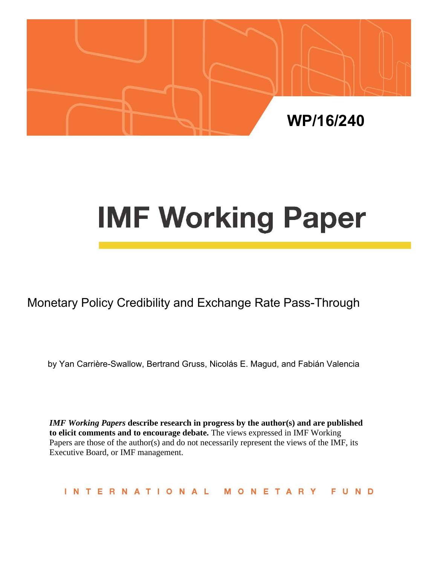

# **IMF Working Paper**

Monetary Policy Credibility and Exchange Rate Pass-Through

by Yan Carrière-Swallow, Bertrand Gruss, Nicolás E. Magud, and Fabián Valencia

*IMF Working Papers* **describe research in progress by the author(s) and are published to elicit comments and to encourage debate.** The views expressed in IMF Working Papers are those of the author(s) and do not necessarily represent the views of the IMF, its Executive Board, or IMF management.

INTERNATIONAL MONETARY FUND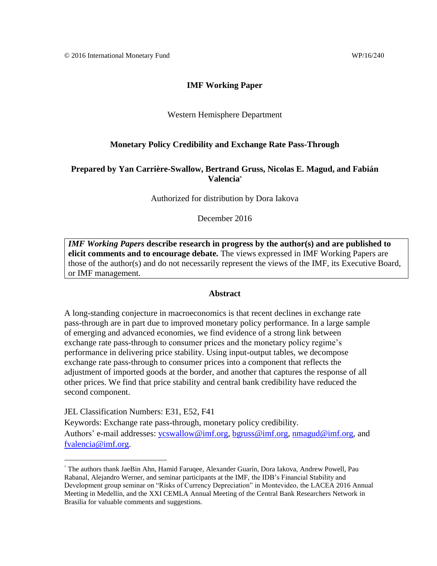## **IMF Working Paper**

## Western Hemisphere Department

## **Monetary Policy Credibility and Exchange Rate Pass-Through**

## **Prepared by Yan Carrière-Swallow, Bertrand Gruss, Nicolas E. Magud, and Fabián Valencia**

Authorized for distribution by Dora Iakova

December 2016

*IMF Working Papers* **describe research in progress by the author(s) and are published to elicit comments and to encourage debate.** The views expressed in IMF Working Papers are those of the author(s) and do not necessarily represent the views of the IMF, its Executive Board, or IMF management.

### **Abstract**

A long-standing conjecture in macroeconomics is that recent declines in exchange rate pass-through are in part due to improved monetary policy performance. In a large sample of emerging and advanced economies, we find evidence of a strong link between exchange rate pass-through to consumer prices and the monetary policy regime's performance in delivering price stability. Using input-output tables, we decompose exchange rate pass-through to consumer prices into a component that reflects the adjustment of imported goods at the border, and another that captures the response of all other prices. We find that price stability and central bank credibility have reduced the second component.

JEL Classification Numbers: E31, E52, F41

Keywords: Exchange rate pass-through, monetary policy credibility. Authors' e-mail addresses: [ycswallow@imf.org,](mailto:ycswallow@imf.org) [bgruss@imf.org,](mailto:bgruss@imf.org) [nmagud@imf.org,](mailto:nmagud@imf.org) and [fvalencia@imf.org.](mailto:fvalencia@imf.org)

The authors thank JaeBin Ahn, Hamid Faruqee, Alexander Guarín, Dora Iakova, Andrew Powell, Pau Rabanal, Alejandro Werner, and seminar participants at the IMF, the IDB's Financial Stability and Development group seminar on "Risks of Currency Depreciation" in Montevideo, the LACEA 2016 Annual Meeting in Medellín, and the XXI CEMLA Annual Meeting of the Central Bank Researchers Network in Brasilia for valuable comments and suggestions.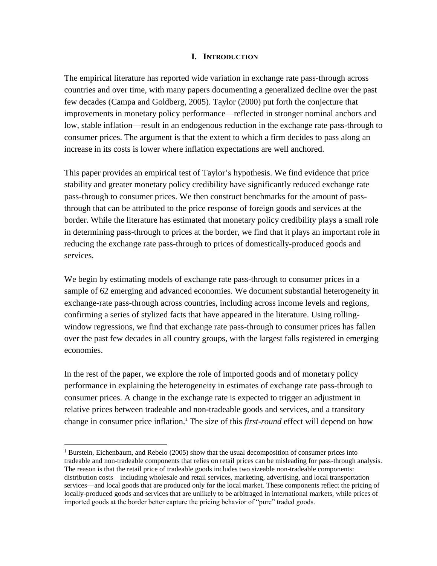## **I. INTRODUCTION**

The empirical literature has reported wide variation in exchange rate pass-through across countries and over time, with many papers documenting a generalized decline over the past few decades (Campa and Goldberg, 2005). Taylor (2000) put forth the conjecture that improvements in monetary policy performance—reflected in stronger nominal anchors and low, stable inflation—result in an endogenous reduction in the exchange rate pass-through to consumer prices. The argument is that the extent to which a firm decides to pass along an increase in its costs is lower where inflation expectations are well anchored.

This paper provides an empirical test of Taylor's hypothesis. We find evidence that price stability and greater monetary policy credibility have significantly reduced exchange rate pass-through to consumer prices. We then construct benchmarks for the amount of passthrough that can be attributed to the price response of foreign goods and services at the border. While the literature has estimated that monetary policy credibility plays a small role in determining pass-through to prices at the border, we find that it plays an important role in reducing the exchange rate pass-through to prices of domestically-produced goods and services.

We begin by estimating models of exchange rate pass-through to consumer prices in a sample of 62 emerging and advanced economies. We document substantial heterogeneity in exchange-rate pass-through across countries, including across income levels and regions, confirming a series of stylized facts that have appeared in the literature. Using rollingwindow regressions, we find that exchange rate pass-through to consumer prices has fallen over the past few decades in all country groups, with the largest falls registered in emerging economies.

In the rest of the paper, we explore the role of imported goods and of monetary policy performance in explaining the heterogeneity in estimates of exchange rate pass-through to consumer prices. A change in the exchange rate is expected to trigger an adjustment in relative prices between tradeable and non-tradeable goods and services, and a transitory change in consumer price inflation.<sup>1</sup> The size of this *first-round* effect will depend on how

<sup>&</sup>lt;sup>1</sup> Burstein, Eichenbaum, and Rebelo (2005) show that the usual decomposition of consumer prices into tradeable and non-tradeable components that relies on retail prices can be misleading for pass-through analysis. The reason is that the retail price of tradeable goods includes two sizeable non-tradeable components: distribution costs—including wholesale and retail services, marketing, advertising, and local transportation services—and local goods that are produced only for the local market. These components reflect the pricing of locally-produced goods and services that are unlikely to be arbitraged in international markets, while prices of imported goods at the border better capture the pricing behavior of "pure" traded goods.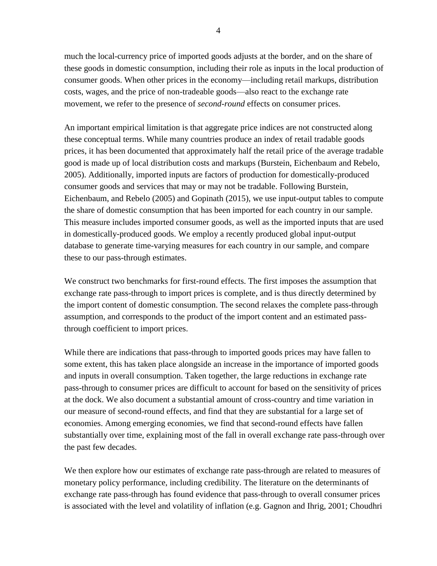much the local-currency price of imported goods adjusts at the border, and on the share of these goods in domestic consumption, including their role as inputs in the local production of consumer goods. When other prices in the economy—including retail markups, distribution costs, wages, and the price of non-tradeable goods—also react to the exchange rate movement, we refer to the presence of *second-round* effects on consumer prices.

An important empirical limitation is that aggregate price indices are not constructed along these conceptual terms. While many countries produce an index of retail tradable goods prices, it has been documented that approximately half the retail price of the average tradable good is made up of local distribution costs and markups (Burstein, Eichenbaum and Rebelo, 2005). Additionally, imported inputs are factors of production for domestically-produced consumer goods and services that may or may not be tradable. Following Burstein, Eichenbaum, and Rebelo (2005) and Gopinath (2015), we use input-output tables to compute the share of domestic consumption that has been imported for each country in our sample. This measure includes imported consumer goods, as well as the imported inputs that are used in domestically-produced goods. We employ a recently produced global input-output database to generate time-varying measures for each country in our sample, and compare these to our pass-through estimates.

We construct two benchmarks for first-round effects. The first imposes the assumption that exchange rate pass-through to import prices is complete, and is thus directly determined by the import content of domestic consumption. The second relaxes the complete pass-through assumption, and corresponds to the product of the import content and an estimated passthrough coefficient to import prices.

While there are indications that pass-through to imported goods prices may have fallen to some extent, this has taken place alongside an increase in the importance of imported goods and inputs in overall consumption. Taken together, the large reductions in exchange rate pass-through to consumer prices are difficult to account for based on the sensitivity of prices at the dock. We also document a substantial amount of cross-country and time variation in our measure of second-round effects, and find that they are substantial for a large set of economies. Among emerging economies, we find that second-round effects have fallen substantially over time, explaining most of the fall in overall exchange rate pass-through over the past few decades.

We then explore how our estimates of exchange rate pass-through are related to measures of monetary policy performance, including credibility. The literature on the determinants of exchange rate pass-through has found evidence that pass-through to overall consumer prices is associated with the level and volatility of inflation (e.g. Gagnon and Ihrig, 2001; Choudhri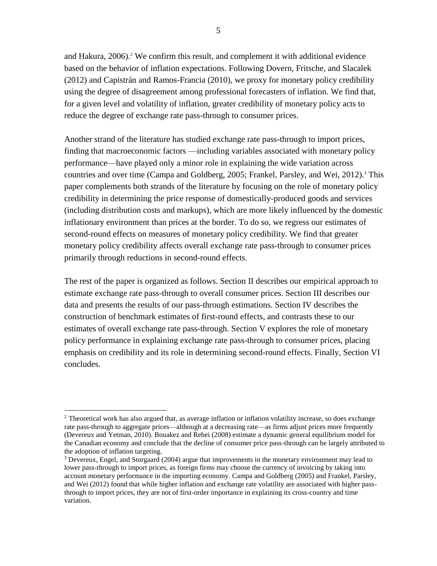and Hakura, 2006). <sup>2</sup> We confirm this result, and complement it with additional evidence based on the behavior of inflation expectations. Following Dovern, Fritsche, and Slacalek (2012) and Capistrán and Ramos-Francia (2010), we proxy for monetary policy credibility using the degree of disagreement among professional forecasters of inflation. We find that, for a given level and volatility of inflation, greater credibility of monetary policy acts to reduce the degree of exchange rate pass-through to consumer prices.

Another strand of the literature has studied exchange rate pass-through to import prices, finding that macroeconomic factors —including variables associated with monetary policy performance—have played only a minor role in explaining the wide variation across countries and over time (Campa and Goldberg, 2005; Frankel, Parsley, and Wei, 2012).<sup>3</sup> This paper complements both strands of the literature by focusing on the role of monetary policy credibility in determining the price response of domestically-produced goods and services (including distribution costs and markups), which are more likely influenced by the domestic inflationary environment than prices at the border. To do so, we regress our estimates of second-round effects on measures of monetary policy credibility. We find that greater monetary policy credibility affects overall exchange rate pass-through to consumer prices primarily through reductions in second-round effects.

The rest of the paper is organized as follows. Section II describes our empirical approach to estimate exchange rate pass-through to overall consumer prices. Section III describes our data and presents the results of our pass-through estimations. Section IV describes the construction of benchmark estimates of first-round effects, and contrasts these to our estimates of overall exchange rate pass-through. Section V explores the role of monetary policy performance in explaining exchange rate pass-through to consumer prices, placing emphasis on credibility and its role in determining second-round effects. Finally, Section VI concludes.

 $2$  Theoretical work has also argued that, as average inflation or inflation volatility increase, so does exchange rate pass-through to aggregate prices—although at a decreasing rate—as firms adjust prices more frequently (Devereux and Yetman, 2010). Bouakez and Rebei (2008) estimate a dynamic general equilibrium model for the Canadian economy and conclude that the decline of consumer price pass-through can be largely attributed to the adoption of inflation targeting.

<sup>&</sup>lt;sup>3</sup> Devereux, Engel, and Storgaard (2004) argue that improvements in the monetary environment may lead to lower pass-through to import prices, as foreign firms may choose the currency of invoicing by taking into account monetary performance in the importing economy. Campa and Goldberg (2005) and Frankel, Parsley, and Wei (2012) found that while higher inflation and exchange rate volatility are associated with higher passthrough to import prices, they are not of first-order importance in explaining its cross-country and time variation.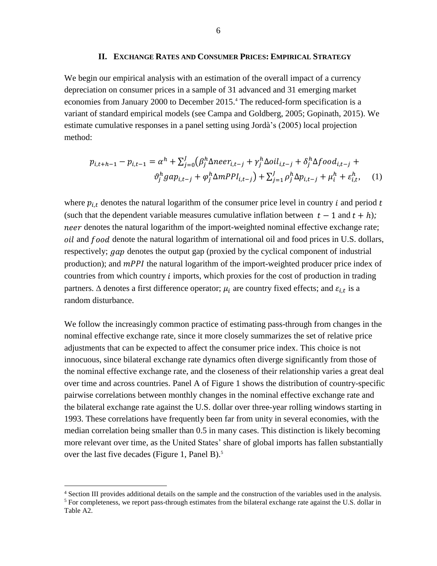#### **II. EXCHANGE RATES AND CONSUMER PRICES: EMPIRICAL STRATEGY**

We begin our empirical analysis with an estimation of the overall impact of a currency depreciation on consumer prices in a sample of 31 advanced and 31 emerging market economies from January 2000 to December 2015. <sup>4</sup> The reduced-form specification is a variant of standard empirical models (see Campa and Goldberg, 2005; Gopinath, 2015). We estimate cumulative responses in a panel setting using Jordà's (2005) local projection method:

$$
p_{i,t+h-1} - p_{i,t-1} = \alpha^h + \sum_{j=0}^J (\beta_j^h \Delta n e e r_{i,t-j} + \gamma_j^h \Delta o i l_{i,t-j} + \delta_j^h \Delta f o o d_{i,t-j} +
$$
  

$$
\vartheta_j^h g a p_{i,t-j} + \varphi_j^h \Delta m P P l_{i,t-j} + \sum_{j=1}^J \rho_j^h \Delta p_{i,t-j} + \mu_i^h + \varepsilon_{i,t}^h, \qquad (1)
$$

where  $p_{i,t}$  denotes the natural logarithm of the consumer price level in country *i* and period *t* (such that the dependent variable measures cumulative inflation between  $t - 1$  and  $t + h$ ); neer denotes the natural logarithm of the import-weighted nominal effective exchange rate; oil and food denote the natural logarithm of international oil and food prices in U.S. dollars, respectively; gap denotes the output gap (proxied by the cyclical component of industrial production); and *mPPI* the natural logarithm of the import-weighted producer price index of countries from which country  $i$  imports, which proxies for the cost of production in trading partners.  $\Delta$  denotes a first difference operator;  $\mu_i$  are country fixed effects; and  $\varepsilon_{i,t}$  is a random disturbance.

We follow the increasingly common practice of estimating pass-through from changes in the nominal effective exchange rate, since it more closely summarizes the set of relative price adjustments that can be expected to affect the consumer price index. This choice is not innocuous, since bilateral exchange rate dynamics often diverge significantly from those of the nominal effective exchange rate, and the closeness of their relationship varies a great deal over time and across countries. Panel A of Figure 1 shows the distribution of country-specific pairwise correlations between monthly changes in the nominal effective exchange rate and the bilateral exchange rate against the U.S. dollar over three-year rolling windows starting in 1993. These correlations have frequently been far from unity in several economies, with the median correlation being smaller than 0.5 in many cases. This distinction is likely becoming more relevant over time, as the United States' share of global imports has fallen substantially over the last five decades (Figure 1, Panel B). 5

<sup>4</sup> Section III provides additional details on the sample and the construction of the variables used in the analysis.  $<sup>5</sup>$  For completeness, we report pass-through estimates from the bilateral exchange rate against the U.S. dollar in</sup> Table A2.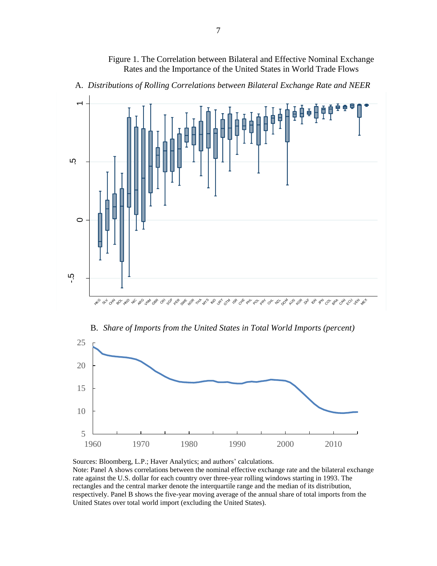Figure 1. The Correlation between Bilateral and Effective Nominal Exchange Rates and the Importance of the United States in World Trade Flows



A. *Distributions of Rolling Correlations between Bilateral Exchange Rate and NEER*

B. *Share of Imports from the United States in Total World Imports (percent)*



Sources: Bloomberg, L.P.; Haver Analytics; and authors' calculations. Note: Panel A shows correlations between the nominal effective exchange rate and the bilateral exchange rate against the U.S. dollar for each country over three-year rolling windows starting in 1993. The rectangles and the central marker denote the interquartile range and the median of its distribution, respectively. Panel B shows the five-year moving average of the annual share of total imports from the United States over total world import (excluding the United States).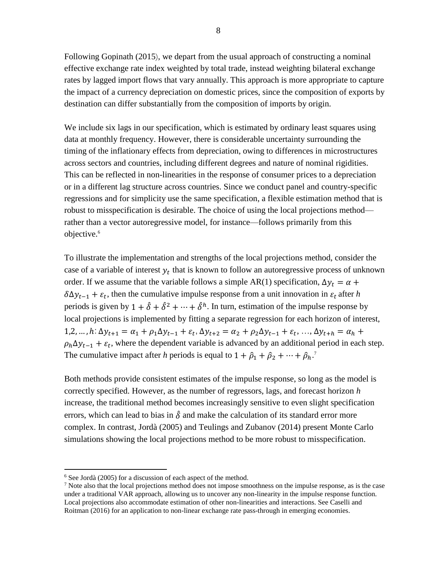Following Gopinath (2015), we depart from the usual approach of constructing a nominal effective exchange rate index weighted by total trade, instead weighting bilateral exchange rates by lagged import flows that vary annually. This approach is more appropriate to capture the impact of a currency depreciation on domestic prices, since the composition of exports by destination can differ substantially from the composition of imports by origin.

We include six lags in our specification, which is estimated by ordinary least squares using data at monthly frequency. However, there is considerable uncertainty surrounding the timing of the inflationary effects from depreciation, owing to differences in microstructures across sectors and countries, including different degrees and nature of nominal rigidities. This can be reflected in non-linearities in the response of consumer prices to a depreciation or in a different lag structure across countries. Since we conduct panel and country-specific regressions and for simplicity use the same specification, a flexible estimation method that is robust to misspecification is desirable. The choice of using the local projections method rather than a vector autoregressive model, for instance—follows primarily from this objective. 6

To illustrate the implementation and strengths of the local projections method, consider the case of a variable of interest  $y_t$  that is known to follow an autoregressive process of unknown order. If we assume that the variable follows a simple AR(1) specification,  $\Delta y_t = \alpha +$  $\delta \Delta y_{t-1} + \varepsilon_t$ , then the cumulative impulse response from a unit innovation in  $\varepsilon_t$  after *h* periods is given by  $1 + \hat{\delta} + \hat{\delta}^2 + \cdots + \hat{\delta}^h$ . In turn, estimation of the impulse response by local projections is implemented by fitting a separate regression for each horizon of interest, 1,2, ...,  $h: \Delta y_{t+1} = \alpha_1 + \rho_1 \Delta y_{t-1} + \varepsilon_t$ ,  $\Delta y_{t+2} = \alpha_2 + \rho_2 \Delta y_{t-1} + \varepsilon_t$ , ...,  $\Delta y_{t+h} = \alpha_h + \rho_1 \Delta y_{t+h}$  $\rho_h \Delta y_{t-1} + \varepsilon_t$ , where the dependent variable is advanced by an additional period in each step. The cumulative impact after *h* periods is equal to  $1 + \hat{\rho}_1 + \hat{\rho}_2 + \cdots + \hat{\rho}_h$ <sup>7</sup>

Both methods provide consistent estimates of the impulse response, so long as the model is correctly specified. However, as the number of regressors, lags, and forecast horizon *h* increase, the traditional method becomes increasingly sensitive to even slight specification errors, which can lead to bias in  $\hat{\delta}$  and make the calculation of its standard error more complex. In contrast, Jordà (2005) and Teulings and Zubanov (2014) present Monte Carlo simulations showing the local projections method to be more robust to misspecification.

<sup>6</sup> See Jordà (2005) for a discussion of each aspect of the method.

<sup>&</sup>lt;sup>7</sup> Note also that the local projections method does not impose smoothness on the impulse response, as is the case under a traditional VAR approach, allowing us to uncover any non-linearity in the impulse response function. Local projections also accommodate estimation of other non-linearities and interactions. See Caselli and Roitman (2016) for an application to non-linear exchange rate pass-through in emerging economies.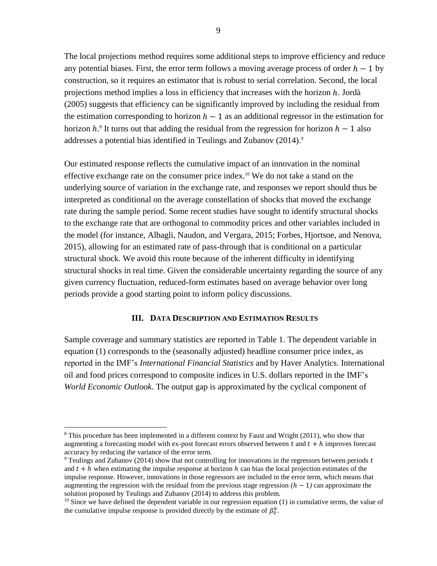The local projections method requires some additional steps to improve efficiency and reduce any potential biases. First, the error term follows a moving average process of order  $h - 1$  by construction, so it requires an estimator that is robust to serial correlation. Second, the local projections method implies a loss in efficiency that increases with the horizon h. Jordà (2005) suggests that efficiency can be significantly improved by including the residual from the estimation corresponding to horizon  $h - 1$  as an additional regressor in the estimation for horizon  $h$ .<sup>8</sup> It turns out that adding the residual from the regression for horizon  $h-1$  also addresses a potential bias identified in Teulings and Zubanov (2014). 9

Our estimated response reflects the cumulative impact of an innovation in the nominal effective exchange rate on the consumer price index. <sup>10</sup> We do not take a stand on the underlying source of variation in the exchange rate, and responses we report should thus be interpreted as conditional on the average constellation of shocks that moved the exchange rate during the sample period. Some recent studies have sought to identify structural shocks to the exchange rate that are orthogonal to commodity prices and other variables included in the model (for instance, Albagli, Naudon, and Vergara, 2015; Forbes, Hjortsoe, and Nenova, 2015), allowing for an estimated rate of pass-through that is conditional on a particular structural shock. We avoid this route because of the inherent difficulty in identifying structural shocks in real time. Given the considerable uncertainty regarding the source of any given currency fluctuation, reduced-form estimates based on average behavior over long periods provide a good starting point to inform policy discussions.

### **III. DATA DESCRIPTION AND ESTIMATION RESULTS**

Sample coverage and summary statistics are reported in Table 1. The dependent variable in equation (1) corresponds to the (seasonally adjusted) headline consumer price index, as reported in the IMF's *International Financial Statistics* and by Haver Analytics. International oil and food prices correspond to composite indices in U.S. dollars reported in the IMF's *World Economic Outlook*. The output gap is approximated by the cyclical component of

<sup>8</sup> This procedure has been implemented in a different context by Faust and Wright (2011), who show that augmenting a forecasting model with ex-post forecast errors observed between  $t$  and  $t + h$  improves forecast accuracy by reducing the variance of the error term.

 $9$  Teulings and Zubanov (2014) show that not controlling for innovations in the regressors between periods t and  $t + h$  when estimating the impulse response at horizon h can bias the local projection estimates of the impulse response. However, innovations in those regressors are included in the error term, which means that augmenting the regression with the residual from the previous stage regression  $(h - 1)$  can approximate the solution proposed by Teulings and Zubanov (2014) to address this problem.

 $10$  Since we have defined the dependent variable in our regression equation (1) in cumulative terms, the value of the cumulative impulse response is provided directly by the estimate of  $\beta_0^h$ .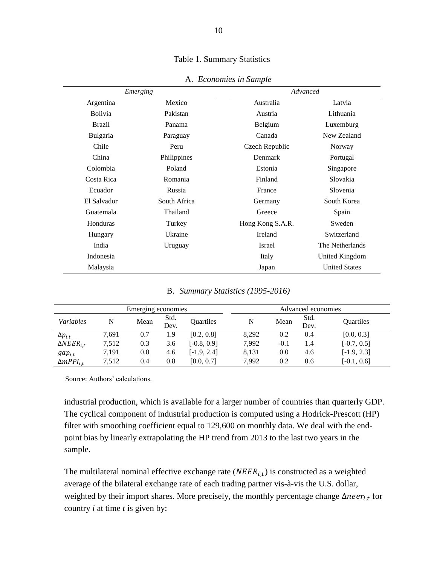## Table 1. Summary Statistics

|                | Emerging     | Advanced         |                      |  |  |  |  |
|----------------|--------------|------------------|----------------------|--|--|--|--|
| Argentina      | Mexico       | Australia        | Latvia               |  |  |  |  |
| <b>Bolivia</b> | Pakistan     | Austria          | Lithuania            |  |  |  |  |
| Brazil         | Panama       | Belgium          | Luxemburg            |  |  |  |  |
| Bulgaria       | Paraguay     | Canada           | New Zealand          |  |  |  |  |
| Chile          | Peru         | Czech Republic   | Norway               |  |  |  |  |
| China          | Philippines  | Denmark          | Portugal             |  |  |  |  |
| Colombia       | Poland       | Estonia          | Singapore            |  |  |  |  |
| Costa Rica     | Romania      | Finland          | Slovakia             |  |  |  |  |
| Ecuador        | Russia       | France           | Slovenia             |  |  |  |  |
| El Salvador    | South Africa | Germany          | South Korea          |  |  |  |  |
| Guatemala      | Thailand     | Greece           | Spain                |  |  |  |  |
| Honduras       | Turkey       | Hong Kong S.A.R. | Sweden               |  |  |  |  |
| Hungary        | Ukraine      | Ireland          | Switzerland          |  |  |  |  |
| India          | Uruguay      | Israel           | The Netherlands      |  |  |  |  |
| Indonesia      |              | Italy            | United Kingdom       |  |  |  |  |
| Malaysia       |              | Japan            | <b>United States</b> |  |  |  |  |

#### A. *Economies in Sample*

| B. Summary Statistics (1995-2016) |  |  |  |  |  |
|-----------------------------------|--|--|--|--|--|
|-----------------------------------|--|--|--|--|--|

|                        |       | Emerging economies   |     |               | Advanced economies        |        |                  |               |  |  |
|------------------------|-------|----------------------|-----|---------------|---------------------------|--------|------------------|---------------|--|--|
| Variables              | N     | Std.<br>Mean<br>Dev. |     | Ouartiles     | Std.<br>N<br>Mean<br>Dev. |        | <b>Ouartiles</b> |               |  |  |
| $\Delta p_{i,t}$       | 7,691 | 0.7                  | 1.9 | [0.2, 0.8]    | 8.292                     | 0.2    | 0.4              | [0.0, 0.3]    |  |  |
| $\triangle NEER_{i,t}$ | 7,512 | 0.3                  | 3.6 | $[-0.8, 0.9]$ | 7,992                     | $-0.1$ | 1.4              | $[-0.7, 0.5]$ |  |  |
| $gap_{i,t}$            | 7,191 | 0.0                  | 4.6 | $[-1.9, 2.4]$ | 8,131                     | 0.0    | 4.6              | $[-1.9, 2.3]$ |  |  |
| $\Delta mPPI_{i,t}$    | 7.512 | 0.4                  | 0.8 | [0.0, 0.7]    | 7,992                     | 0.2    | 0.6              | $[-0.1, 0.6]$ |  |  |

Source: Authors' calculations.

industrial production, which is available for a larger number of countries than quarterly GDP. The cyclical component of industrial production is computed using a Hodrick-Prescott (HP) filter with smoothing coefficient equal to 129,600 on monthly data. We deal with the endpoint bias by linearly extrapolating the HP trend from 2013 to the last two years in the sample.

The multilateral nominal effective exchange rate  $(NEER<sub>i,t</sub>)$  is constructed as a weighted average of the bilateral exchange rate of each trading partner vis-à-vis the U.S. dollar, weighted by their import shares. More precisely, the monthly percentage change  $\Delta neer_{i,t}$  for country *i* at time *t* is given by: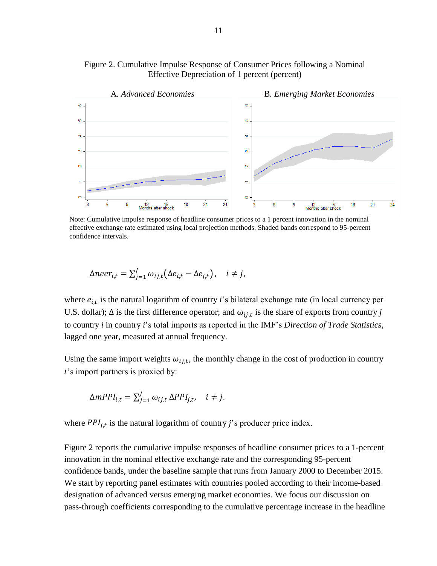

Figure 2. Cumulative Impulse Response of Consumer Prices following a Nominal Effective Depreciation of 1 percent (percent)

Note: Cumulative impulse response of headline consumer prices to a 1 percent innovation in the nominal effective exchange rate estimated using local projection methods. Shaded bands correspond to 95-percent confidence intervals.

$$
\Delta neer_{i,t} = \sum_{j=1}^{J} \omega_{ij,t} (\Delta e_{i,t} - \Delta e_{j,t}), \quad i \neq j,
$$

where  $e_{i,t}$  is the natural logarithm of country *i*'s bilateral exchange rate (in local currency per U.S. dollar);  $\Delta$  is the first difference operator; and  $\omega_{ij,t}$  is the share of exports from country *j* to country *i* in country *i*'s total imports as reported in the IMF's *Direction of Trade Statistics*, lagged one year, measured at annual frequency.

Using the same import weights  $\omega_{ij,t}$ , the monthly change in the cost of production in country i's import partners is proxied by:

$$
\Delta mPPI_{i,t} = \sum_{j=1}^{J} \omega_{ij,t} \Delta PPI_{j,t}, \quad i \neq j,
$$

where  $PPI_{j,t}$  is the natural logarithm of country *j*'s producer price index.

Figure 2 reports the cumulative impulse responses of headline consumer prices to a 1-percent innovation in the nominal effective exchange rate and the corresponding 95-percent confidence bands, under the baseline sample that runs from January 2000 to December 2015. We start by reporting panel estimates with countries pooled according to their income-based designation of advanced versus emerging market economies. We focus our discussion on pass-through coefficients corresponding to the cumulative percentage increase in the headline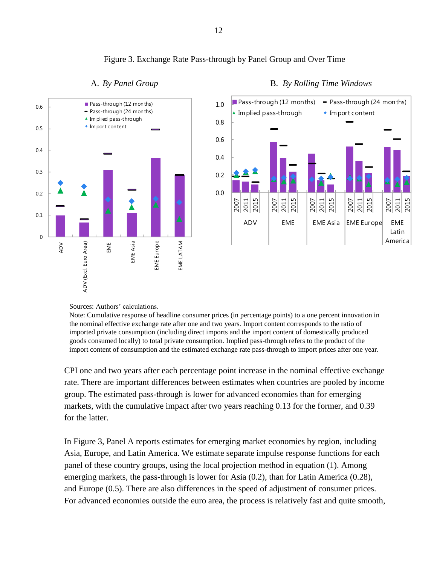

## Figure 3. Exchange Rate Pass-through by Panel Group and Over Time



ADV | EME | EME Asia | EME Europe EME

Latin America

#### A. *By Panel Group* B. *By Rolling Time Windows*

#### Sources: Authors' calculations.

Note: Cumulative response of headline consumer prices (in percentage points) to a one percent innovation in the nominal effective exchange rate after one and two years. Import content corresponds to the ratio of imported private consumption (including direct imports and the import content of domestically produced goods consumed locally) to total private consumption. Implied pass-through refers to the product of the import content of consumption and the estimated exchange rate pass-through to import prices after one year.

CPI one and two years after each percentage point increase in the nominal effective exchange rate. There are important differences between estimates when countries are pooled by income group. The estimated pass-through is lower for advanced economies than for emerging markets, with the cumulative impact after two years reaching 0.13 for the former, and 0.39 for the latter.

In Figure 3, Panel A reports estimates for emerging market economies by region, including Asia, Europe, and Latin America. We estimate separate impulse response functions for each panel of these country groups, using the local projection method in equation (1). Among emerging markets, the pass-through is lower for Asia (0.2), than for Latin America (0.28), and Europe (0.5). There are also differences in the speed of adjustment of consumer prices. For advanced economies outside the euro area, the process is relatively fast and quite smooth,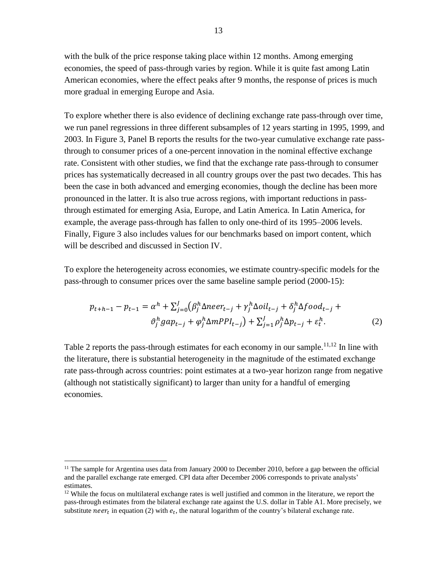with the bulk of the price response taking place within 12 months. Among emerging economies, the speed of pass-through varies by region. While it is quite fast among Latin American economies, where the effect peaks after 9 months, the response of prices is much more gradual in emerging Europe and Asia.

To explore whether there is also evidence of declining exchange rate pass-through over time, we run panel regressions in three different subsamples of 12 years starting in 1995, 1999, and 2003. In Figure 3, Panel B reports the results for the two-year cumulative exchange rate passthrough to consumer prices of a one-percent innovation in the nominal effective exchange rate. Consistent with other studies, we find that the exchange rate pass-through to consumer prices has systematically decreased in all country groups over the past two decades. This has been the case in both advanced and emerging economies, though the decline has been more pronounced in the latter. It is also true across regions, with important reductions in passthrough estimated for emerging Asia, Europe, and Latin America. In Latin America, for example, the average pass-through has fallen to only one-third of its 1995–2006 levels. Finally, Figure 3 also includes values for our benchmarks based on import content, which will be described and discussed in Section IV.

To explore the heterogeneity across economies, we estimate country-specific models for the pass-through to consumer prices over the same baseline sample period (2000-15):

$$
p_{t+h-1} - p_{t-1} = \alpha^h + \sum_{j=0}^J (\beta_j^h \Delta n e e r_{t-j} + \gamma_j^h \Delta o i l_{t-j} + \delta_j^h \Delta f o o d_{t-j} +
$$
  

$$
\vartheta_j^h g a p_{t-j} + \varphi_j^h \Delta m P P l_{t-j} + \sum_{j=1}^J \rho_j^h \Delta p_{t-j} + \varepsilon_t^h. \tag{2}
$$

Table 2 reports the pass-through estimates for each economy in our sample.<sup>11,12</sup> In line with the literature, there is substantial heterogeneity in the magnitude of the estimated exchange rate pass-through across countries: point estimates at a two-year horizon range from negative (although not statistically significant) to larger than unity for a handful of emerging economies.

 $11$  The sample for Argentina uses data from January 2000 to December 2010, before a gap between the official and the parallel exchange rate emerged. CPI data after December 2006 corresponds to private analysts' estimates.

<sup>&</sup>lt;sup>12</sup> While the focus on multilateral exchange rates is well justified and common in the literature, we report the pass-through estimates from the bilateral exchange rate against the U.S. dollar in Table A1. More precisely, we substitute neer<sub>t</sub> in equation (2) with  $e_t$ , the natural logarithm of the country's bilateral exchange rate.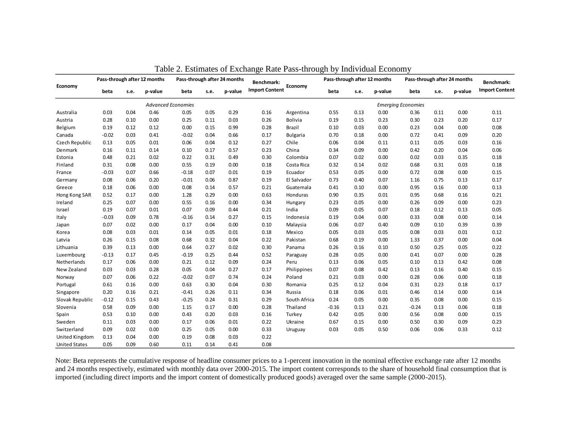|                       |         |      | Pass-through after 12 months |                           | Pass-through after 24 months |         | <b>Benchmark:</b>     |                 |                           | Pass-through after 12 months | Pass-through after 24 months |         |      | <b>Benchmark:</b> |                       |
|-----------------------|---------|------|------------------------------|---------------------------|------------------------------|---------|-----------------------|-----------------|---------------------------|------------------------------|------------------------------|---------|------|-------------------|-----------------------|
| Economy               | beta    | s.e. | p-value                      | beta                      | s.e.                         | p-value | <b>Import Content</b> | <b>Economy</b>  | beta                      | s.e.                         | p-value                      | beta    | s.e. | p-value           | <b>Import Content</b> |
|                       |         |      |                              | <b>Advanced Economies</b> |                              |         |                       |                 | <b>Emerging Economies</b> |                              |                              |         |      |                   |                       |
| Australia             | 0.03    | 0.04 | 0.46                         | 0.05                      | 0.05                         | 0.29    | 0.16                  | Argentina       | 0.55                      | 0.13                         | 0.00                         | 0.36    | 0.11 | 0.00              | 0.11                  |
| Austria               | 0.28    | 0.10 | 0.00                         | 0.25                      | 0.11                         | 0.03    | 0.26                  | <b>Bolivia</b>  | 0.19                      | 0.15                         | 0.23                         | 0.30    | 0.23 | 0.20              | 0.17                  |
| Belgium               | 0.19    | 0.12 | 0.12                         | 0.00                      | 0.15                         | 0.99    | 0.28                  | Brazil          | 0.10                      | 0.03                         | 0.00                         | 0.23    | 0.04 | 0.00              | 0.08                  |
| Canada                | $-0.02$ | 0.03 | 0.41                         | $-0.02$                   | 0.04                         | 0.66    | 0.17                  | <b>Bulgaria</b> | 0.70                      | 0.18                         | 0.00                         | 0.72    | 0.41 | 0.09              | 0.20                  |
| Czech Republic        | 0.13    | 0.05 | 0.01                         | 0.06                      | 0.04                         | 0.12    | 0.27                  | Chile           | 0.06                      | 0.04                         | 0.11                         | 0.11    | 0.05 | 0.03              | 0.16                  |
| Denmark               | 0.16    | 0.11 | 0.14                         | 0.10                      | 0.17                         | 0.57    | 0.23                  | China           | 0.34                      | 0.09                         | 0.00                         | 0.42    | 0.20 | 0.04              | 0.06                  |
| Estonia               | 0.48    | 0.21 | 0.02                         | 0.22                      | 0.31                         | 0.49    | 0.30                  | Colombia        | 0.07                      | 0.02                         | 0.00                         | 0.02    | 0.03 | 0.35              | 0.18                  |
| Finland               | 0.31    | 0.08 | 0.00                         | 0.55                      | 0.19                         | 0.00    | 0.18                  | Costa Rica      | 0.32                      | 0.14                         | 0.02                         | 0.68    | 0.31 | 0.03              | 0.18                  |
| France                | $-0.03$ | 0.07 | 0.66                         | $-0.18$                   | 0.07                         | 0.01    | 0.19                  | Ecuador         | 0.53                      | 0.05                         | 0.00                         | 0.72    | 0.08 | 0.00              | 0.15                  |
| Germany               | 0.08    | 0.06 | 0.20                         | $-0.01$                   | 0.06                         | 0.87    | 0.19                  | El Salvador     | 0.73                      | 0.40                         | 0.07                         | 1.16    | 0.75 | 0.13              | 0.17                  |
| Greece                | 0.18    | 0.06 | 0.00                         | 0.08                      | 0.14                         | 0.57    | 0.21                  | Guatemala       | 0.41                      | 0.10                         | 0.00                         | 0.95    | 0.16 | 0.00              | 0.13                  |
| Hong Kong SAR         | 0.52    | 0.17 | 0.00                         | 1.28                      | 0.29                         | 0.00    | 0.63                  | Honduras        | 0.90                      | 0.35                         | 0.01                         | 0.95    | 0.68 | 0.16              | 0.21                  |
| Ireland               | 0.25    | 0.07 | 0.00                         | 0.55                      | 0.16                         | 0.00    | 0.34                  | Hungary         | 0.23                      | 0.05                         | 0.00                         | 0.26    | 0.09 | 0.00              | 0.23                  |
| Israel                | 0.19    | 0.07 | 0.01                         | 0.07                      | 0.09                         | 0.44    | 0.21                  | India           | 0.09                      | 0.05                         | 0.07                         | 0.18    | 0.12 | 0.13              | 0.05                  |
| Italy                 | $-0.03$ | 0.09 | 0.78                         | $-0.16$                   | 0.14                         | 0.27    | 0.15                  | Indonesia       | 0.19                      | 0.04                         | 0.00                         | 0.33    | 0.08 | 0.00              | 0.14                  |
| Japan                 | 0.07    | 0.02 | 0.00                         | 0.17                      | 0.04                         | 0.00    | 0.10                  | Malaysia        | 0.06                      | 0.07                         | 0.40                         | 0.09    | 0.10 | 0.39              | 0.39                  |
| Korea                 | 0.08    | 0.03 | 0.01                         | 0.14                      | 0.05                         | 0.01    | 0.18                  | Mexico          | 0.05                      | 0.03                         | 0.05                         | 0.08    | 0.03 | 0.01              | 0.12                  |
| Latvia                | 0.26    | 0.15 | 0.08                         | 0.68                      | 0.32                         | 0.04    | 0.22                  | Pakistan        | 0.68                      | 0.19                         | 0.00                         | 1.33    | 0.37 | 0.00              | 0.04                  |
| Lithuania             | 0.39    | 0.13 | 0.00                         | 0.64                      | 0.27                         | 0.02    | 0.30                  | Panama          | 0.26                      | 0.16                         | 0.10                         | 0.50    | 0.25 | 0.05              | 0.22                  |
| Luxembourg            | $-0.13$ | 0.17 | 0.45                         | $-0.19$                   | 0.25                         | 0.44    | 0.52                  | Paraguay        | 0.28                      | 0.05                         | 0.00                         | 0.41    | 0.07 | 0.00              | 0.28                  |
| Netherlands           | 0.17    | 0.06 | 0.00                         | 0.21                      | 0.12                         | 0.09    | 0.24                  | Peru            | 0.13                      | 0.06                         | 0.05                         | 0.10    | 0.13 | 0.42              | 0.08                  |
| New Zealand           | 0.03    | 0.03 | 0.28                         | 0.05                      | 0.04                         | 0.27    | 0.17                  | Philippines     | 0.07                      | 0.08                         | 0.42                         | 0.13    | 0.16 | 0.40              | 0.15                  |
| Norway                | 0.07    | 0.06 | 0.22                         | $-0.02$                   | 0.07                         | 0.74    | 0.24                  | Poland          | 0.21                      | 0.03                         | 0.00                         | 0.28    | 0.06 | 0.00              | 0.18                  |
| Portugal              | 0.61    | 0.16 | 0.00                         | 0.63                      | 0.30                         | 0.04    | 0.30                  | Romania         | 0.25                      | 0.12                         | 0.04                         | 0.31    | 0.23 | 0.18              | 0.17                  |
| Singapore             | 0.20    | 0.16 | 0.21                         | $-0.41$                   | 0.26                         | 0.11    | 0.34                  | Russia          | 0.18                      | 0.06                         | 0.01                         | 0.46    | 0.14 | 0.00              | 0.14                  |
| Slovak Republic       | $-0.12$ | 0.15 | 0.43                         | $-0.25$                   | 0.24                         | 0.31    | 0.29                  | South Africa    | 0.24                      | 0.05                         | 0.00                         | 0.35    | 0.08 | 0.00              | 0.15                  |
| Slovenia              | 0.58    | 0.09 | 0.00                         | 1.15                      | 0.17                         | 0.00    | 0.28                  | Thailand        | $-0.16$                   | 0.13                         | 0.21                         | $-0.24$ | 0.13 | 0.06              | 0.18                  |
| Spain                 | 0.53    | 0.10 | 0.00                         | 0.43                      | 0.20                         | 0.03    | 0.16                  | Turkey          | 0.42                      | 0.05                         | 0.00                         | 0.56    | 0.08 | 0.00              | 0.15                  |
| Sweden                | 0.11    | 0.03 | 0.00                         | 0.17                      | 0.06                         | 0.01    | 0.22                  | Ukraine         | 0.67                      | 0.15                         | 0.00                         | 0.50    | 0.30 | 0.09              | 0.23                  |
| Switzerland           | 0.09    | 0.02 | 0.00                         | 0.25                      | 0.05                         | 0.00    | 0.33                  | Uruguay         | 0.03                      | 0.05                         | 0.50                         | 0.06    | 0.06 | 0.33              | 0.12                  |
| <b>United Kingdom</b> | 0.13    | 0.04 | 0.00                         | 0.19                      | 0.08                         | 0.03    | 0.22                  |                 |                           |                              |                              |         |      |                   |                       |
| <b>United States</b>  | 0.05    | 0.09 | 0.60                         | 0.11                      | 0.14                         | 0.41    | 0.08                  |                 |                           |                              |                              |         |      |                   |                       |

Table 2. Estimates of Exchange Rate Pass-through by Individual Economy

Note: Beta represents the cumulative response of headline consumer prices to a 1-percent innovation in the nominal effective exchange rate after 12 months and 24 months respectively, estimated with monthly data over 2000-2015. The import content corresponds to the share of household final consumption that is imported (including direct imports and the import content of domestically produced goods) averaged over the same sample (2000-2015).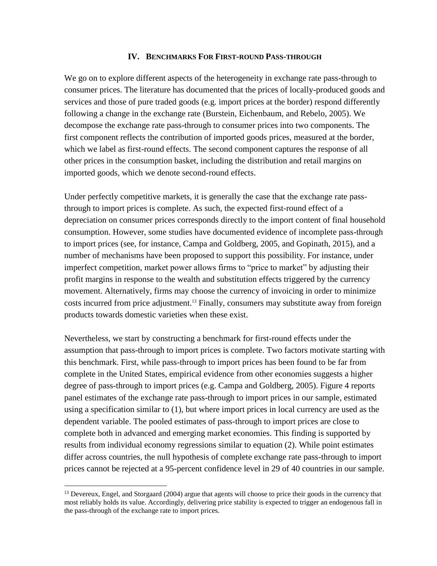## **IV. BENCHMARKS FOR FIRST-ROUND PASS-THROUGH**

We go on to explore different aspects of the heterogeneity in exchange rate pass-through to consumer prices. The literature has documented that the prices of locally-produced goods and services and those of pure traded goods (e.g. import prices at the border) respond differently following a change in the exchange rate (Burstein, Eichenbaum, and Rebelo, 2005). We decompose the exchange rate pass-through to consumer prices into two components. The first component reflects the contribution of imported goods prices, measured at the border, which we label as first-round effects. The second component captures the response of all other prices in the consumption basket, including the distribution and retail margins on imported goods, which we denote second-round effects.

Under perfectly competitive markets, it is generally the case that the exchange rate passthrough to import prices is complete. As such, the expected first-round effect of a depreciation on consumer prices corresponds directly to the import content of final household consumption. However, some studies have documented evidence of incomplete pass-through to import prices (see, for instance, Campa and Goldberg, 2005, and Gopinath, 2015), and a number of mechanisms have been proposed to support this possibility. For instance, under imperfect competition, market power allows firms to "price to market" by adjusting their profit margins in response to the wealth and substitution effects triggered by the currency movement. Alternatively, firms may choose the currency of invoicing in order to minimize costs incurred from price adjustment. <sup>13</sup> Finally, consumers may substitute away from foreign products towards domestic varieties when these exist.

Nevertheless, we start by constructing a benchmark for first-round effects under the assumption that pass-through to import prices is complete. Two factors motivate starting with this benchmark. First, while pass-through to import prices has been found to be far from complete in the United States, empirical evidence from other economies suggests a higher degree of pass-through to import prices (e.g. Campa and Goldberg, 2005). Figure 4 reports panel estimates of the exchange rate pass-through to import prices in our sample, estimated using a specification similar to (1), but where import prices in local currency are used as the dependent variable. The pooled estimates of pass-through to import prices are close to complete both in advanced and emerging market economies. This finding is supported by results from individual economy regressions similar to equation (2). While point estimates differ across countries, the null hypothesis of complete exchange rate pass-through to import prices cannot be rejected at a 95-percent confidence level in 29 of 40 countries in our sample.

<sup>&</sup>lt;sup>13</sup> Devereux, Engel, and Storgaard (2004) argue that agents will choose to price their goods in the currency that most reliably holds its value. Accordingly, delivering price stability is expected to trigger an endogenous fall in the pass-through of the exchange rate to import prices.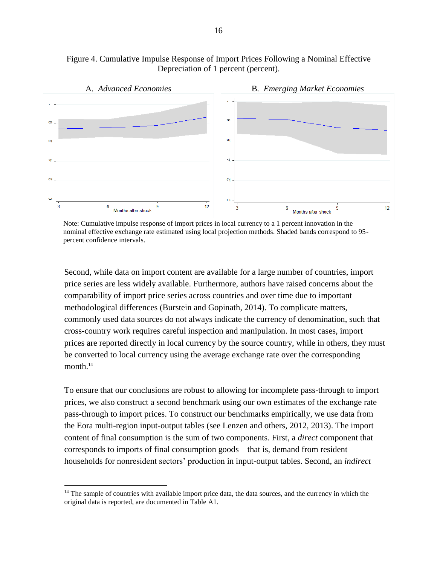



Note: Cumulative impulse response of import prices in local currency to a 1 percent innovation in the nominal effective exchange rate estimated using local projection methods. Shaded bands correspond to 95 percent confidence intervals.

Second, while data on import content are available for a large number of countries, import price series are less widely available. Furthermore, authors have raised concerns about the comparability of import price series across countries and over time due to important methodological differences (Burstein and Gopinath, 2014). To complicate matters, commonly used data sources do not always indicate the currency of denomination, such that cross-country work requires careful inspection and manipulation. In most cases, import prices are reported directly in local currency by the source country, while in others, they must be converted to local currency using the average exchange rate over the corresponding month. $14$ 

To ensure that our conclusions are robust to allowing for incomplete pass-through to import prices, we also construct a second benchmark using our own estimates of the exchange rate pass-through to import prices. To construct our benchmarks empirically, we use data from the Eora multi-region input-output tables (see Lenzen and others, 2012, 2013). The import content of final consumption is the sum of two components. First, a *direct* component that corresponds to imports of final consumption goods—that is, demand from resident households for nonresident sectors' production in input-output tables. Second, an *indirect*

<sup>&</sup>lt;sup>14</sup> The sample of countries with available import price data, the data sources, and the currency in which the original data is reported, are documented in Table A1.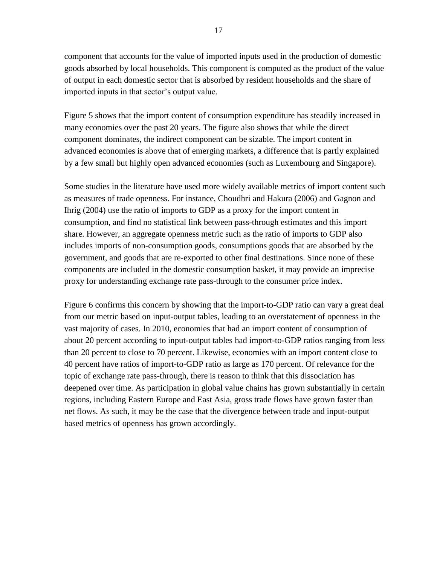component that accounts for the value of imported inputs used in the production of domestic goods absorbed by local households. This component is computed as the product of the value of output in each domestic sector that is absorbed by resident households and the share of imported inputs in that sector's output value.

Figure 5 shows that the import content of consumption expenditure has steadily increased in many economies over the past 20 years. The figure also shows that while the direct component dominates, the indirect component can be sizable. The import content in advanced economies is above that of emerging markets, a difference that is partly explained by a few small but highly open advanced economies (such as Luxembourg and Singapore).

Some studies in the literature have used more widely available metrics of import content such as measures of trade openness. For instance, Choudhri and Hakura (2006) and Gagnon and Ihrig (2004) use the ratio of imports to GDP as a proxy for the import content in consumption, and find no statistical link between pass-through estimates and this import share. However, an aggregate openness metric such as the ratio of imports to GDP also includes imports of non-consumption goods, consumptions goods that are absorbed by the government, and goods that are re-exported to other final destinations. Since none of these components are included in the domestic consumption basket, it may provide an imprecise proxy for understanding exchange rate pass-through to the consumer price index.

Figure 6 confirms this concern by showing that the import-to-GDP ratio can vary a great deal from our metric based on input-output tables, leading to an overstatement of openness in the vast majority of cases. In 2010, economies that had an import content of consumption of about 20 percent according to input-output tables had import-to-GDP ratios ranging from less than 20 percent to close to 70 percent. Likewise, economies with an import content close to 40 percent have ratios of import-to-GDP ratio as large as 170 percent. Of relevance for the topic of exchange rate pass-through, there is reason to think that this dissociation has deepened over time. As participation in global value chains has grown substantially in certain regions, including Eastern Europe and East Asia, gross trade flows have grown faster than net flows. As such, it may be the case that the divergence between trade and input-output based metrics of openness has grown accordingly.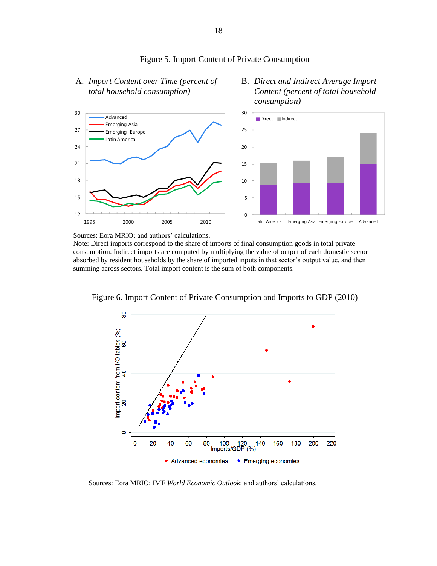

## Figure 5. Import Content of Private Consumption

A. *Import Content over Time (percent of total household consumption)* 

*consumption)*

B. *Direct and Indirect Average Import Content (percent of total household* 

Sources: Eora MRIO; and authors' calculations.

Note: Direct imports correspond to the share of imports of final consumption goods in total private consumption. Indirect imports are computed by multiplying the value of output of each domestic sector absorbed by resident households by the share of imported inputs in that sector's output value, and then summing across sectors. Total import content is the sum of both components.



Figure 6. Import Content of Private Consumption and Imports to GDP (2010)

Sources: Eora MRIO; IMF *World Economic Outlook*; and authors' calculations.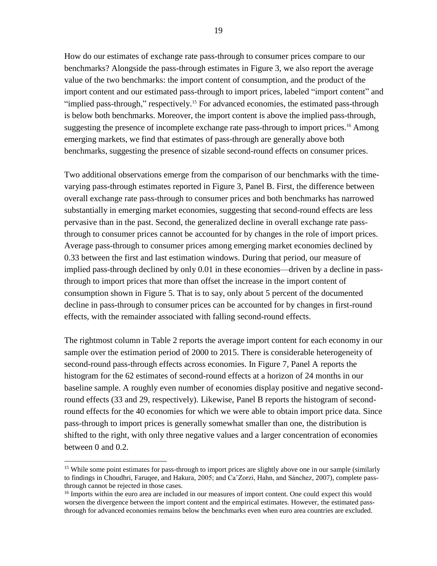How do our estimates of exchange rate pass-through to consumer prices compare to our benchmarks? Alongside the pass-through estimates in Figure 3, we also report the average value of the two benchmarks: the import content of consumption, and the product of the import content and our estimated pass-through to import prices, labeled "import content" and "implied pass-through," respectively.<sup>15</sup> For advanced economies, the estimated pass-through is below both benchmarks. Moreover, the import content is above the implied pass-through, suggesting the presence of incomplete exchange rate pass-through to import prices.<sup>16</sup> Among emerging markets, we find that estimates of pass-through are generally above both benchmarks, suggesting the presence of sizable second-round effects on consumer prices.

Two additional observations emerge from the comparison of our benchmarks with the timevarying pass-through estimates reported in Figure 3, Panel B. First, the difference between overall exchange rate pass-through to consumer prices and both benchmarks has narrowed substantially in emerging market economies, suggesting that second-round effects are less pervasive than in the past. Second, the generalized decline in overall exchange rate passthrough to consumer prices cannot be accounted for by changes in the role of import prices. Average pass-through to consumer prices among emerging market economies declined by 0.33 between the first and last estimation windows. During that period, our measure of implied pass-through declined by only 0.01 in these economies—driven by a decline in passthrough to import prices that more than offset the increase in the import content of consumption shown in Figure 5. That is to say, only about 5 percent of the documented decline in pass-through to consumer prices can be accounted for by changes in first-round effects, with the remainder associated with falling second-round effects.

The rightmost column in Table 2 reports the average import content for each economy in our sample over the estimation period of 2000 to 2015. There is considerable heterogeneity of second-round pass-through effects across economies. In Figure 7, Panel A reports the histogram for the 62 estimates of second-round effects at a horizon of 24 months in our baseline sample. A roughly even number of economies display positive and negative secondround effects (33 and 29, respectively). Likewise, Panel B reports the histogram of secondround effects for the 40 economies for which we were able to obtain import price data. Since pass-through to import prices is generally somewhat smaller than one, the distribution is shifted to the right, with only three negative values and a larger concentration of economies between 0 and 0.2.

<sup>&</sup>lt;sup>15</sup> While some point estimates for pass-through to import prices are slightly above one in our sample (similarly to findings in Choudhri, Faruqee, and Hakura, 2005; and Ca'Zorzi, Hahn, and Sánchez, 2007), complete passthrough cannot be rejected in those cases.

<sup>&</sup>lt;sup>16</sup> Imports within the euro area are included in our measures of import content. One could expect this would worsen the divergence between the import content and the empirical estimates. However, the estimated passthrough for advanced economies remains below the benchmarks even when euro area countries are excluded.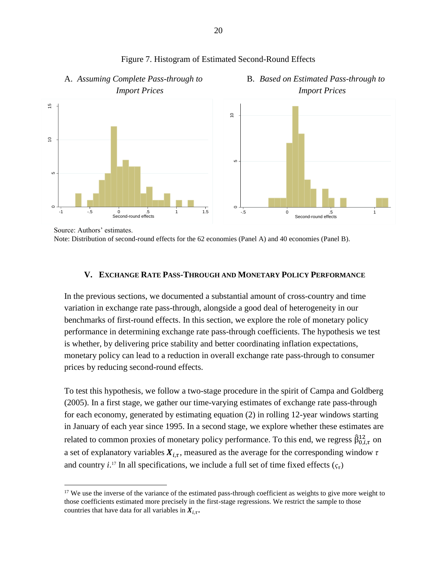

## Figure 7. Histogram of Estimated Second-Round Effects

Source: Authors' estimates.

Note: Distribution of second-round effects for the 62 economies (Panel A) and 40 economies (Panel B).

### **V. EXCHANGE RATE PASS-THROUGH AND MONETARY POLICY PERFORMANCE**

In the previous sections, we documented a substantial amount of cross-country and time variation in exchange rate pass-through, alongside a good deal of heterogeneity in our benchmarks of first-round effects. In this section, we explore the role of monetary policy performance in determining exchange rate pass-through coefficients. The hypothesis we test is whether, by delivering price stability and better coordinating inflation expectations, monetary policy can lead to a reduction in overall exchange rate pass-through to consumer prices by reducing second-round effects.

To test this hypothesis, we follow a two-stage procedure in the spirit of Campa and Goldberg (2005). In a first stage, we gather our time-varying estimates of exchange rate pass-through for each economy, generated by estimating equation (2) in rolling 12-year windows starting in January of each year since 1995. In a second stage, we explore whether these estimates are related to common proxies of monetary policy performance. To this end, we regress  $\hat{\beta}_{0,i,\tau}^{12}$  on a set of explanatory variables  $X_{i,\tau}$ , measured as the average for the corresponding window  $\tau$ and country *i*.<sup>17</sup> In all specifications, we include a full set of time fixed effects  $(c_{\tau})$ 

<sup>&</sup>lt;sup>17</sup> We use the inverse of the variance of the estimated pass-through coefficient as weights to give more weight to those coefficients estimated more precisely in the first-stage regressions. We restrict the sample to those countries that have data for all variables in  $X_{i,\tau}$ .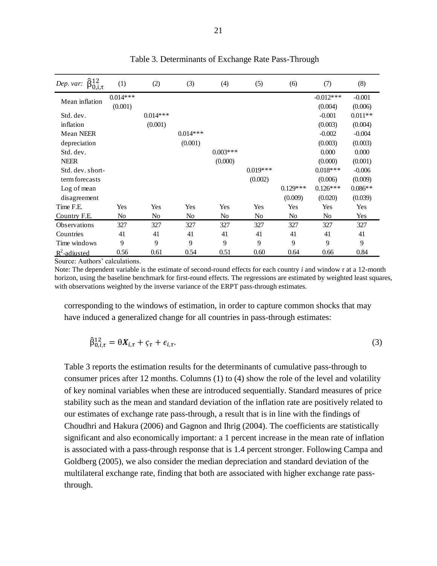| $\hat{\beta}^{12}_{0,i,\tau}$<br>Dep. var: | (1)        | (2)        | (3)        | (4)        | (5)        | (6)        | (7)         | (8)       |
|--------------------------------------------|------------|------------|------------|------------|------------|------------|-------------|-----------|
| Mean inflation                             | $0.014***$ |            |            |            |            |            | $-0.012***$ | $-0.001$  |
|                                            | (0.001)    |            |            |            |            |            | (0.004)     | (0.006)   |
| Std. dev.                                  |            | $0.014***$ |            |            |            |            | $-0.001$    | $0.011**$ |
| inflation                                  |            | (0.001)    |            |            |            |            | (0.003)     | (0.004)   |
| <b>Mean NEER</b>                           |            |            | $0.014***$ |            |            |            | $-0.002$    | $-0.004$  |
| depreciation                               |            |            | (0.001)    |            |            |            | (0.003)     | (0.003)   |
| Std. dev.                                  |            |            |            | $0.003***$ |            |            | 0.000       | 0.000     |
| <b>NEER</b>                                |            |            |            | (0.000)    |            |            | (0.000)     | (0.001)   |
| Std. dev. short-                           |            |            |            |            | $0.019***$ |            | $0.018***$  | $-0.006$  |
| term forecasts                             |            |            |            |            | (0.002)    |            | (0.006)     | (0.009)   |
| Log of mean                                |            |            |            |            |            | $0.129***$ | $0.126***$  | $0.086**$ |
| disagreement                               |            |            |            |            |            | (0.009)    | (0.020)     | (0.039)   |
| Time F.E.                                  | Yes        | Yes        | Yes        | Yes        | Yes        | Yes        | Yes         | Yes       |
| Country F.E.                               | No         | No         | No         | No         | No         | No         | No          | Yes       |
| <b>Observations</b>                        | 327        | 327        | 327        | 327        | 327        | 327        | 327         | 327       |
| Countries                                  | 41         | 41         | 41         | 41         | 41         | 41         | 41          | 41        |
| Time windows                               | 9          | 9          | 9          | 9          | 9          | 9          | 9           | 9         |
| $R^2$ -adjusted                            | 0.56       | 0.61       | 0.54       | 0.51       | 0.60       | 0.64       | 0.66        | 0.84      |

Table 3. Determinants of Exchange Rate Pass-Through

Source: Authors' calculations.

Note: The dependent variable is the estimate of second-round effects for each country *i* and window *τ* at a 12-month horizon, using the baseline benchmark for first-round effects. The regressions are estimated by weighted least squares, with observations weighted by the inverse variance of the ERPT pass-through estimates.

corresponding to the windows of estimation, in order to capture common shocks that may have induced a generalized change for all countries in pass-through estimates:

$$
\hat{\beta}_{0,i,\tau}^{12} = \theta X_{i,\tau} + \varsigma_{\tau} + \epsilon_{i,\tau}.\tag{3}
$$

Table 3 reports the estimation results for the determinants of cumulative pass-through to consumer prices after 12 months. Columns (1) to (4) show the role of the level and volatility of key nominal variables when these are introduced sequentially. Standard measures of price stability such as the mean and standard deviation of the inflation rate are positively related to our estimates of exchange rate pass-through, a result that is in line with the findings of Choudhri and Hakura (2006) and Gagnon and Ihrig (2004). The coefficients are statistically significant and also economically important: a 1 percent increase in the mean rate of inflation is associated with a pass-through response that is 1.4 percent stronger. Following Campa and Goldberg (2005), we also consider the median depreciation and standard deviation of the multilateral exchange rate, finding that both are associated with higher exchange rate passthrough.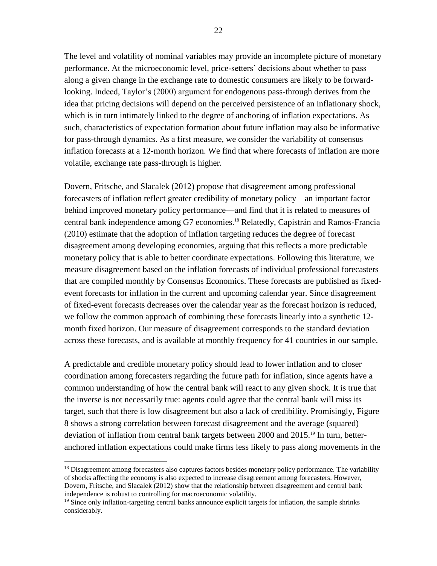The level and volatility of nominal variables may provide an incomplete picture of monetary performance. At the microeconomic level, price-setters' decisions about whether to pass along a given change in the exchange rate to domestic consumers are likely to be forwardlooking. Indeed, Taylor's (2000) argument for endogenous pass-through derives from the idea that pricing decisions will depend on the perceived persistence of an inflationary shock, which is in turn intimately linked to the degree of anchoring of inflation expectations. As such, characteristics of expectation formation about future inflation may also be informative for pass-through dynamics. As a first measure, we consider the variability of consensus inflation forecasts at a 12-month horizon. We find that where forecasts of inflation are more volatile, exchange rate pass-through is higher.

Dovern, Fritsche, and Slacalek (2012) propose that disagreement among professional forecasters of inflation reflect greater credibility of monetary policy—an important factor behind improved monetary policy performance—and find that it is related to measures of central bank independence among G7 economies. <sup>18</sup> Relatedly, Capistrán and Ramos-Francia (2010) estimate that the adoption of inflation targeting reduces the degree of forecast disagreement among developing economies, arguing that this reflects a more predictable monetary policy that is able to better coordinate expectations. Following this literature, we measure disagreement based on the inflation forecasts of individual professional forecasters that are compiled monthly by Consensus Economics. These forecasts are published as fixedevent forecasts for inflation in the current and upcoming calendar year. Since disagreement of fixed-event forecasts decreases over the calendar year as the forecast horizon is reduced, we follow the common approach of combining these forecasts linearly into a synthetic 12 month fixed horizon. Our measure of disagreement corresponds to the standard deviation across these forecasts, and is available at monthly frequency for 41 countries in our sample.

A predictable and credible monetary policy should lead to lower inflation and to closer coordination among forecasters regarding the future path for inflation, since agents have a common understanding of how the central bank will react to any given shock. It is true that the inverse is not necessarily true: agents could agree that the central bank will miss its target, such that there is low disagreement but also a lack of credibility. Promisingly, Figure 8 shows a strong correlation between forecast disagreement and the average (squared) deviation of inflation from central bank targets between 2000 and 2015.<sup>19</sup> In turn, betteranchored inflation expectations could make firms less likely to pass along movements in the

<sup>&</sup>lt;sup>18</sup> Disagreement among forecasters also captures factors besides monetary policy performance. The variability of shocks affecting the economy is also expected to increase disagreement among forecasters. However, Dovern, Fritsche, and Slacalek (2012) show that the relationship between disagreement and central bank independence is robust to controlling for macroeconomic volatility.

 $19$  Since only inflation-targeting central banks announce explicit targets for inflation, the sample shrinks considerably.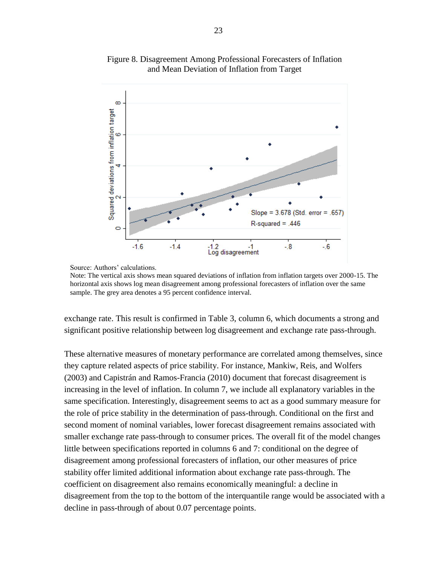

Figure 8. Disagreement Among Professional Forecasters of Inflation and Mean Deviation of Inflation from Target

exchange rate. This result is confirmed in Table 3, column 6, which documents a strong and significant positive relationship between log disagreement and exchange rate pass-through.

These alternative measures of monetary performance are correlated among themselves, since they capture related aspects of price stability. For instance, Mankiw, Reis, and Wolfers (2003) and Capistrán and Ramos-Francia (2010) document that forecast disagreement is increasing in the level of inflation. In column 7, we include all explanatory variables in the same specification. Interestingly, disagreement seems to act as a good summary measure for the role of price stability in the determination of pass-through. Conditional on the first and second moment of nominal variables, lower forecast disagreement remains associated with smaller exchange rate pass-through to consumer prices. The overall fit of the model changes little between specifications reported in columns 6 and 7: conditional on the degree of disagreement among professional forecasters of inflation, our other measures of price stability offer limited additional information about exchange rate pass-through. The coefficient on disagreement also remains economically meaningful: a decline in disagreement from the top to the bottom of the interquantile range would be associated with a decline in pass-through of about 0.07 percentage points.

Source: Authors' calculations.

Note: The vertical axis shows mean squared deviations of inflation from inflation targets over 2000-15. The horizontal axis shows log mean disagreement among professional forecasters of inflation over the same sample. The grey area denotes a 95 percent confidence interval.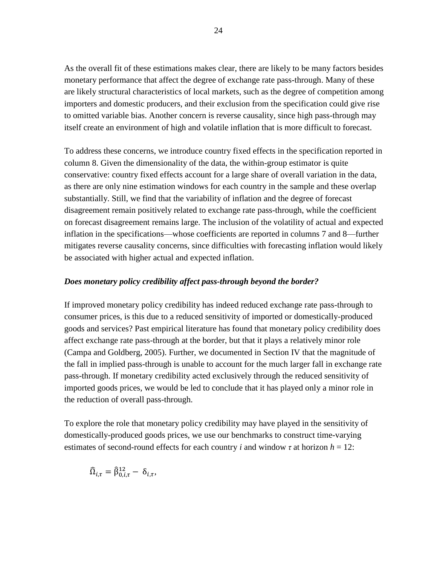As the overall fit of these estimations makes clear, there are likely to be many factors besides monetary performance that affect the degree of exchange rate pass-through. Many of these are likely structural characteristics of local markets, such as the degree of competition among importers and domestic producers, and their exclusion from the specification could give rise to omitted variable bias. Another concern is reverse causality, since high pass-through may itself create an environment of high and volatile inflation that is more difficult to forecast.

To address these concerns, we introduce country fixed effects in the specification reported in column 8. Given the dimensionality of the data, the within-group estimator is quite conservative: country fixed effects account for a large share of overall variation in the data, as there are only nine estimation windows for each country in the sample and these overlap substantially. Still, we find that the variability of inflation and the degree of forecast disagreement remain positively related to exchange rate pass-through, while the coefficient on forecast disagreement remains large. The inclusion of the volatility of actual and expected inflation in the specifications—whose coefficients are reported in columns 7 and 8—further mitigates reverse causality concerns, since difficulties with forecasting inflation would likely be associated with higher actual and expected inflation.

## *Does monetary policy credibility affect pass-through beyond the border?*

If improved monetary policy credibility has indeed reduced exchange rate pass-through to consumer prices, is this due to a reduced sensitivity of imported or domestically-produced goods and services? Past empirical literature has found that monetary policy credibility does affect exchange rate pass-through at the border, but that it plays a relatively minor role (Campa and Goldberg, 2005). Further, we documented in Section IV that the magnitude of the fall in implied pass-through is unable to account for the much larger fall in exchange rate pass-through. If monetary credibility acted exclusively through the reduced sensitivity of imported goods prices, we would be led to conclude that it has played only a minor role in the reduction of overall pass-through.

To explore the role that monetary policy credibility may have played in the sensitivity of domestically-produced goods prices, we use our benchmarks to construct time-varying estimates of second-round effects for each country *i* and window  $\tau$  at horizon  $h = 12$ :

$$
\widehat{\Omega}_{i,\tau} = \widehat{\beta}^{12}_{0,i,\tau} - \delta_{i,\tau},
$$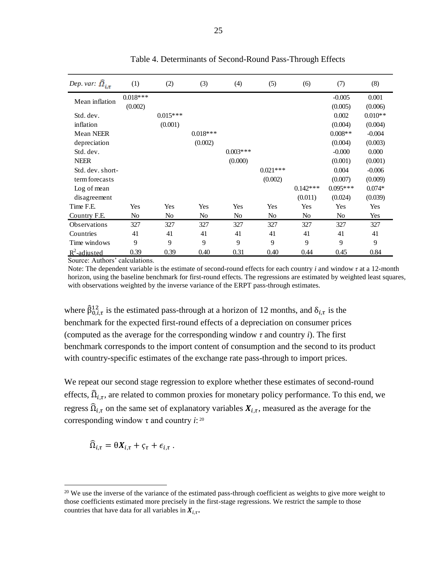| Dep. var. $\overline{\Omega}_{i,\tau}$ | (1)            | (2)            | (3)            | (4)            | (5)            | (6)            | (7)            | (8)       |
|----------------------------------------|----------------|----------------|----------------|----------------|----------------|----------------|----------------|-----------|
| Mean inflation                         | $0.018***$     |                |                |                |                |                | $-0.005$       | 0.001     |
|                                        | (0.002)        |                |                |                |                |                | (0.005)        | (0.006)   |
| Std. dev.                              |                | $0.015***$     |                |                |                |                | 0.002          | $0.010**$ |
| inflation                              |                | (0.001)        |                |                |                |                | (0.004)        | (0.004)   |
| Mean NEER                              |                |                | $0.018***$     |                |                |                | $0.008**$      | $-0.004$  |
| depreciation                           |                |                | (0.002)        |                |                |                | (0.004)        | (0.003)   |
| Std. dev.                              |                |                |                | $0.003***$     |                |                | $-0.000$       | 0.000     |
| <b>NEER</b>                            |                |                |                | (0.000)        |                |                | (0.001)        | (0.001)   |
| Std. dev. short-                       |                |                |                |                | $0.021***$     |                | 0.004          | $-0.006$  |
| term forecasts                         |                |                |                |                | (0.002)        |                | (0.007)        | (0.009)   |
| Log of mean                            |                |                |                |                |                | $0.142***$     | $0.095***$     | $0.074*$  |
| disagreement                           |                |                |                |                |                | (0.011)        | (0.024)        | (0.039)   |
| Time F.E.                              | Yes            | Yes            | Yes            | Yes            | Yes            | Yes            | Yes            | Yes       |
| Country F.E.                           | N <sub>0</sub> | N <sub>0</sub> | N <sub>0</sub> | N <sub>0</sub> | N <sub>0</sub> | N <sub>0</sub> | N <sub>o</sub> | Yes       |
| <b>Observations</b>                    | 327            | 327            | 327            | 327            | 327            | 327            | 327            | 327       |
| Countries                              | 41             | 41             | 41             | 41             | 41             | 41             | 41             | 41        |
| Time windows                           | 9              | 9              | 9              | 9              | 9              | 9              | 9              | 9         |
| $R^2$ -adiusted                        | 0.39           | 0.39           | 0.40           | 0.31           | 0.40           | 0.44           | 0.45           | 0.84      |

Table 4. Determinants of Second-Round Pass-Through Effects

Source: Authors' calculations.

Note: The dependent variable is the estimate of second-round effects for each country *i* and window *τ* at a 12-month horizon, using the baseline benchmark for first-round effects. The regressions are estimated by weighted least squares, with observations weighted by the inverse variance of the ERPT pass-through estimates.

where  $\hat{\beta}_{0,i,\tau}^{12}$  is the estimated pass-through at a horizon of 12 months, and  $\delta_{i,\tau}$  is the benchmark for the expected first-round effects of a depreciation on consumer prices (computed as the average for the corresponding window  $\tau$  and country *i*). The first benchmark corresponds to the import content of consumption and the second to its product with country-specific estimates of the exchange rate pass-through to import prices.

We repeat our second stage regression to explore whether these estimates of second-round effects,  $\widehat{\Omega}_{i,\tau}$ , are related to common proxies for monetary policy performance. To this end, we regress  $\widehat{\Omega}_{i,\tau}$  on the same set of explanatory variables  $X_{i,\tau}$ , measured as the average for the corresponding window τ and country *i*: 20

$$
\widehat{\Omega}_{i,\tau} = \Theta X_{i,\tau} + \varsigma_{\tau} + \epsilon_{i,\tau} \, .
$$

<sup>&</sup>lt;sup>20</sup> We use the inverse of the variance of the estimated pass-through coefficient as weights to give more weight to those coefficients estimated more precisely in the first-stage regressions. We restrict the sample to those countries that have data for all variables in  $X_{i,\tau}$ .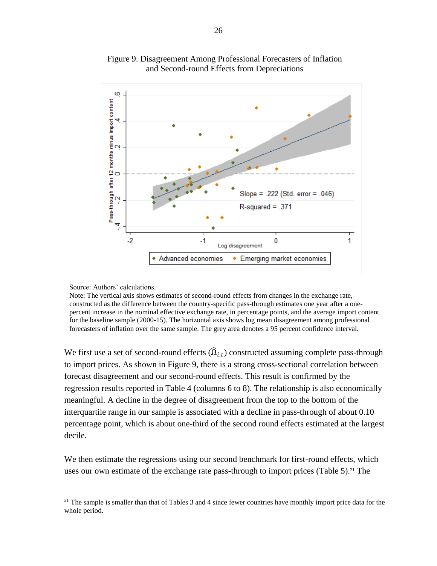

Figure 9. Disagreement Among Professional Forecasters of Inflation and Second-round Effects from Depreciations

#### Source: Authors' calculations.

Note: The vertical axis shows estimates of second-round effects from changes in the exchange rate, constructed as the difference between the country-specific pass-through estimates one year after a onepercent increase in the nominal effective exchange rate, in percentage points, and the average import content for the baseline sample (2000-15). The horizontal axis shows log mean disagreement among professional forecasters of inflation over the same sample. The grey area denotes a 95 percent confidence interval.

We first use a set of second-round effects ( $\widehat{\Omega}_{i,\tau}$ ) constructed assuming complete pass-through to import prices. As shown in Figure 9, there is a strong cross-sectional correlation between forecast disagreement and our second-round effects. This result is confirmed by the regression results reported in Table 4 (columns 6 to 8). The relationship is also economically meaningful. A decline in the degree of disagreement from the top to the bottom of the interquartile range in our sample is associated with a decline in pass-through of about 0.10 percentage point, which is about one-third of the second round effects estimated at the largest decile.

We then estimate the regressions using our second benchmark for first-round effects, which uses our own estimate of the exchange rate pass-through to import prices (Table 5).<sup>21</sup> The

<sup>&</sup>lt;sup>21</sup> The sample is smaller than that of Tables 3 and 4 since fewer countries have monthly import price data for the whole period.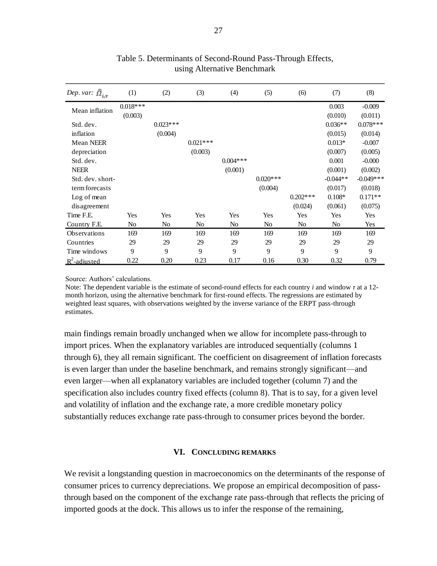| Dep. var: $\overline{\Omega}_{i,\tau}$ | (1)        | (2)            | (3)            | (4)            | (5)        | (6)            | (7)            | (8)         |
|----------------------------------------|------------|----------------|----------------|----------------|------------|----------------|----------------|-------------|
| Mean inflation                         | $0.018***$ |                |                |                |            |                | 0.003          | $-0.009$    |
|                                        | (0.003)    |                |                |                |            |                | (0.010)        | (0.011)     |
| Std. dev.                              |            | $0.023***$     |                |                |            |                | $0.036**$      | $0.078***$  |
| inflation                              |            | (0.004)        |                |                |            |                | (0.015)        | (0.014)     |
| Mean NEER                              |            |                | $0.021***$     |                |            |                | $0.013*$       | $-0.007$    |
| depreciation                           |            |                | (0.003)        |                |            |                | (0.007)        | (0.005)     |
| Std. dev.                              |            |                |                | $0.004***$     |            |                | 0.001          | $-0.000$    |
| <b>NEER</b>                            |            |                |                | (0.001)        |            |                | (0.001)        | (0.002)     |
| Std. dev. short-                       |            |                |                |                | $0.020***$ |                | $-0.044**$     | $-0.049***$ |
| term forecasts                         |            |                |                |                | (0.004)    |                | (0.017)        | (0.018)     |
| Log of mean                            |            |                |                |                |            | $0.202***$     | $0.108*$       | $0.171**$   |
| disagreement                           |            |                |                |                |            | (0.024)        | (0.061)        | (0.075)     |
| Time F.E.                              | Yes        | Yes            | Yes            | Yes            | Yes        | Yes            | Yes            | Yes         |
| Country F.E.                           | No         | N <sub>0</sub> | N <sub>o</sub> | N <sub>o</sub> | No         | N <sub>0</sub> | N <sub>0</sub> | Yes         |
| <b>Observations</b>                    | 169        | 169            | 169            | 169            | 169        | 169            | 169            | 169         |
| Countries                              | 29         | 29             | 29             | 29             | 29         | 29             | 29             | 29          |
| Time windows                           | 9          | 9              | 9              | 9              | 9          | 9              | 9              | 9           |
| $R^2$ -adiusted                        | 0.22       | 0.20           | 0.23           | 0.17           | 0.16       | 0.30           | 0.32           | 0.79        |

## Table 5. Determinants of Second-Round Pass-Through Effects, using Alternative Benchmark

Source: Authors' calculations.

Note: The dependent variable is the estimate of second-round effects for each country *i* and window *τ* at a 12 month horizon, using the alternative benchmark for first-round effects. The regressions are estimated by weighted least squares, with observations weighted by the inverse variance of the ERPT pass-through estimates.

main findings remain broadly unchanged when we allow for incomplete pass-through to import prices. When the explanatory variables are introduced sequentially (columns 1 through 6), they all remain significant. The coefficient on disagreement of inflation forecasts is even larger than under the baseline benchmark, and remains strongly significant—and even larger—when all explanatory variables are included together (column 7) and the specification also includes country fixed effects (column 8). That is to say, for a given level and volatility of inflation and the exchange rate, a more credible monetary policy substantially reduces exchange rate pass-through to consumer prices beyond the border.

## **VI. CONCLUDING REMARKS**

We revisit a longstanding question in macroeconomics on the determinants of the response of consumer prices to currency depreciations. We propose an empirical decomposition of passthrough based on the component of the exchange rate pass-through that reflects the pricing of imported goods at the dock. This allows us to infer the response of the remaining,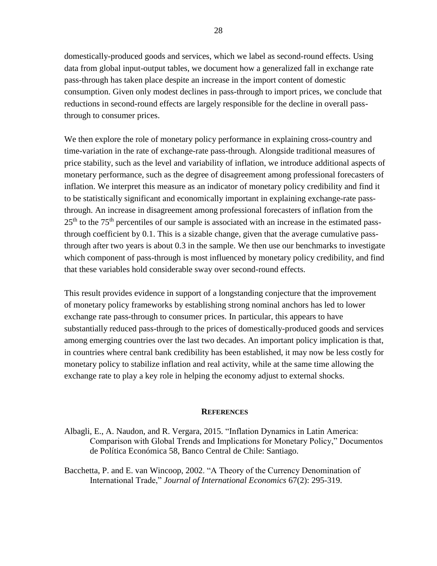domestically-produced goods and services, which we label as second-round effects. Using data from global input-output tables, we document how a generalized fall in exchange rate pass-through has taken place despite an increase in the import content of domestic consumption. Given only modest declines in pass-through to import prices, we conclude that reductions in second-round effects are largely responsible for the decline in overall passthrough to consumer prices.

We then explore the role of monetary policy performance in explaining cross-country and time-variation in the rate of exchange-rate pass-through. Alongside traditional measures of price stability, such as the level and variability of inflation, we introduce additional aspects of monetary performance, such as the degree of disagreement among professional forecasters of inflation. We interpret this measure as an indicator of monetary policy credibility and find it to be statistically significant and economically important in explaining exchange-rate passthrough. An increase in disagreement among professional forecasters of inflation from the  $25<sup>th</sup>$  to the 75<sup>th</sup> percentiles of our sample is associated with an increase in the estimated passthrough coefficient by 0.1. This is a sizable change, given that the average cumulative passthrough after two years is about 0.3 in the sample. We then use our benchmarks to investigate which component of pass-through is most influenced by monetary policy credibility, and find that these variables hold considerable sway over second-round effects.

This result provides evidence in support of a longstanding conjecture that the improvement of monetary policy frameworks by establishing strong nominal anchors has led to lower exchange rate pass-through to consumer prices. In particular, this appears to have substantially reduced pass-through to the prices of domestically-produced goods and services among emerging countries over the last two decades. An important policy implication is that, in countries where central bank credibility has been established, it may now be less costly for monetary policy to stabilize inflation and real activity, while at the same time allowing the exchange rate to play a key role in helping the economy adjust to external shocks.

### **REFERENCES**

- Albagli, E., A. Naudon, and R. Vergara, 2015. "Inflation Dynamics in Latin America: Comparison with Global Trends and Implications for Monetary Policy," Documentos de Política Económica 58, Banco Central de Chile: Santiago.
- Bacchetta, P. and E. van Wincoop, 2002. "A Theory of the Currency Denomination of International Trade," *Journal of International Economics* 67(2): 295-319.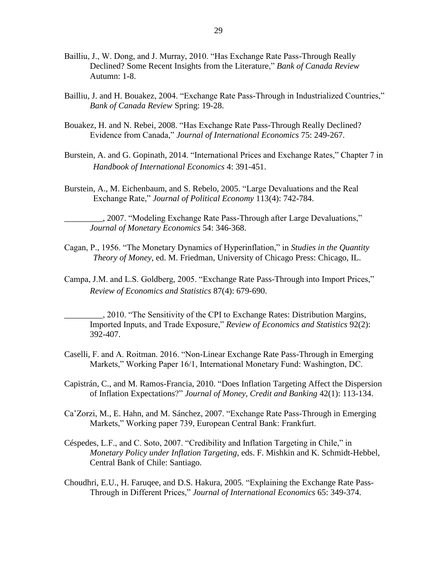- Bailliu, J., W. Dong, and J. Murray, 2010. "Has Exchange Rate Pass-Through Really Declined? Some Recent Insights from the Literature," *Bank of Canada Review* Autumn: 1-8.
- Bailliu, J. and H. Bouakez, 2004. "Exchange Rate Pass-Through in Industrialized Countries," *Bank of Canada Review* Spring: 19-28.
- Bouakez, H. and N. Rebei, 2008. "Has Exchange Rate Pass-Through Really Declined? Evidence from Canada," *Journal of International Economics* 75: 249-267.
- Burstein, A. and G. Gopinath, 2014. "International Prices and Exchange Rates," Chapter 7 in *Handbook of International Economics* 4: 391-451.
- Burstein, A., M. Eichenbaum, and S. Rebelo, 2005. "Large Devaluations and the Real Exchange Rate," *Journal of Political Economy* 113(4): 742-784.

\_\_\_\_\_\_\_\_\_, 2007. "Modeling Exchange Rate Pass-Through after Large Devaluations," *Journal of Monetary Economics* 54: 346-368.

- Cagan, P., 1956. "The Monetary Dynamics of Hyperinflation," in *Studies in the Quantity Theory of Money*, ed. M. Friedman, University of Chicago Press: Chicago, IL.
- Campa, J.M. and L.S. Goldberg, 2005. "Exchange Rate Pass-Through into Import Prices," *Review of Economics and Statistics* 87(4): 679-690.

\_\_\_\_\_\_\_\_\_, 2010. "The Sensitivity of the CPI to Exchange Rates: Distribution Margins, Imported Inputs, and Trade Exposure," *Review of Economics and Statistics* 92(2): 392-407.

- Caselli, F. and A. Roitman. 2016. "Non-Linear Exchange Rate Pass-Through in Emerging Markets," Working Paper 16/1, International Monetary Fund: Washington, DC.
- Capistrán, C., and M. Ramos-Francia, 2010. "Does Inflation Targeting Affect the Dispersion of Inflation Expectations?" *Journal of Money, Credit and Banking* 42(1): 113-134.
- Ca'Zorzi, M., E. Hahn, and M. Sánchez, 2007. "Exchange Rate Pass-Through in Emerging Markets," Working paper 739, European Central Bank: Frankfurt.
- Céspedes, L.F., and C. Soto, 2007. "Credibility and Inflation Targeting in Chile," in *Monetary Policy under Inflation Targeting*, eds. F. Mishkin and K. Schmidt-Hebbel, Central Bank of Chile: Santiago.
- Choudhri, E.U., H. Faruqee, and D.S. Hakura, 2005. "Explaining the Exchange Rate Pass-Through in Different Prices," *Journal of International Economics* 65: 349-374.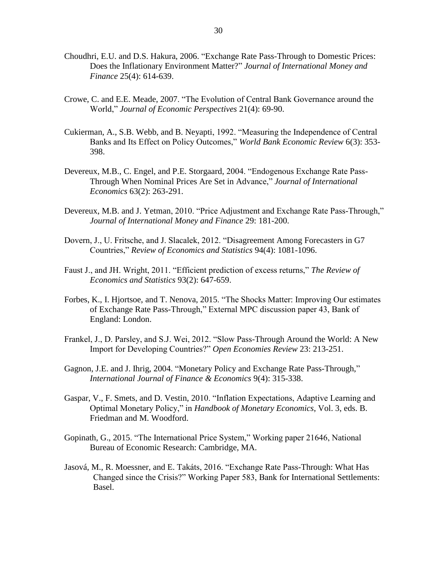- Choudhri, E.U. and D.S. Hakura, 2006. "Exchange Rate Pass-Through to Domestic Prices: Does the Inflationary Environment Matter?" *Journal of International Money and Finance* 25(4): 614-639.
- Crowe, C. and E.E. Meade, 2007. "The Evolution of Central Bank Governance around the World," *Journal of Economic Perspectives* 21(4): 69-90.
- Cukierman, A., S.B. Webb, and B. Neyapti, 1992. "Measuring the Independence of Central Banks and Its Effect on Policy Outcomes," *World Bank Economic Review* 6(3): 353- 398.
- Devereux, M.B., C. Engel, and P.E. Storgaard, 2004. "Endogenous Exchange Rate Pass-Through When Nominal Prices Are Set in Advance," *Journal of International Economics* 63(2): 263-291.
- Devereux, M.B. and J. Yetman, 2010. "Price Adjustment and Exchange Rate Pass-Through," *Journal of International Money and Finance* 29: 181-200.
- Dovern, J., U. Fritsche, and J. Slacalek, 2012. "Disagreement Among Forecasters in G7 Countries," *Review of Economics and Statistics* 94(4): 1081-1096.
- Faust J., and JH. Wright, 2011. "Efficient prediction of excess returns," *The Review of Economics and Statistics* 93(2): 647-659.
- Forbes, K., I. Hjortsoe, and T. Nenova, 2015. "The Shocks Matter: Improving Our estimates of Exchange Rate Pass-Through," External MPC discussion paper 43, Bank of England: London.
- Frankel, J., D. Parsley, and S.J. Wei, 2012. "Slow Pass-Through Around the World: A New Import for Developing Countries?" *Open Economies Review* 23: 213-251.
- Gagnon, J.E. and J. Ihrig, 2004. "Monetary Policy and Exchange Rate Pass-Through," *International Journal of Finance & Economics* 9(4): 315-338.
- Gaspar, V., F. Smets, and D. Vestin, 2010. "Inflation Expectations, Adaptive Learning and Optimal Monetary Policy," in *Handbook of Monetary Economics*, Vol. 3, eds. B. Friedman and M. Woodford.
- Gopinath, G., 2015. "The International Price System," Working paper 21646, National Bureau of Economic Research: Cambridge, MA.
- Jasová, M., R. Moessner, and E. Takáts, 2016. "Exchange Rate Pass-Through: What Has Changed since the Crisis?" Working Paper 583, Bank for International Settlements: Basel.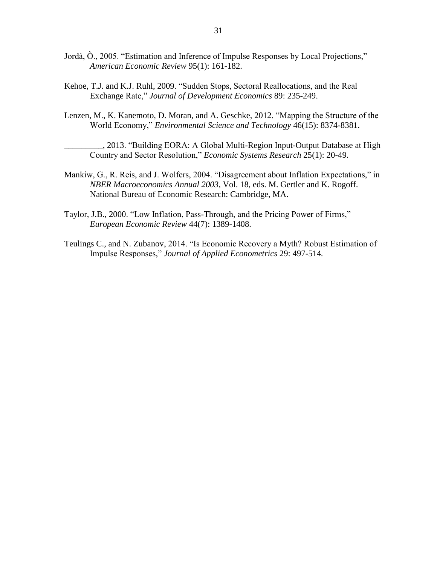- Jordà, Ò., 2005. "Estimation and Inference of Impulse Responses by Local Projections," *American Economic Review* 95(1): 161-182.
- Kehoe, T.J. and K.J. Ruhl, 2009. "Sudden Stops, Sectoral Reallocations, and the Real Exchange Rate," *Journal of Development Economics* 89: 235-249.
- Lenzen, M., K. Kanemoto, D. Moran, and A. Geschke, 2012. "Mapping the Structure of the World Economy," *Environmental Science and Technology* 46(15): 8374-8381.

\_\_\_\_\_\_\_\_\_, 2013. "Building EORA: A Global Multi-Region Input-Output Database at High Country and Sector Resolution," *Economic Systems Research* 25(1): 20-49.

- Mankiw, G., R. Reis, and J. Wolfers, 2004. "Disagreement about Inflation Expectations," in *NBER Macroeconomics Annual 2003*, Vol. 18, eds. M. Gertler and K. Rogoff. National Bureau of Economic Research: Cambridge, MA.
- Taylor, J.B., 2000. "Low Inflation, Pass-Through, and the Pricing Power of Firms," *European Economic Review* 44(7): 1389-1408.
- Teulings C., and N. Zubanov, 2014. "Is Economic Recovery a Myth? Robust Estimation of Impulse Responses," *Journal of Applied Econometrics* 29: 497-514*.*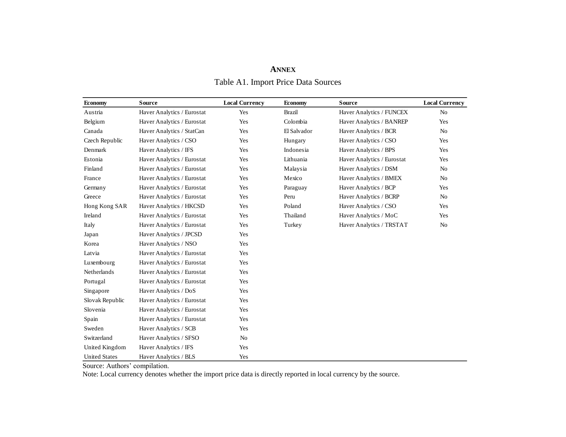## **ANNEX**

| <b>Economy</b>       | <b>Source</b>              | <b>Local Currency</b> | <b>Economy</b> | <b>Source</b>              | <b>Local Currency</b> |  |  |
|----------------------|----------------------------|-----------------------|----------------|----------------------------|-----------------------|--|--|
| Austria              | Haver Analytics / Eurostat | Yes                   | <b>Brazil</b>  | Haver Analytics / FUNCEX   | No                    |  |  |
| Belgium              | Haver Analytics / Eurostat | Yes                   | Colombia       | Haver Analytics / BANREP   | Yes                   |  |  |
| Canada               | Haver Analytics / StatCan  | Yes                   | El Salvador    | Haver Analytics / BCR      | N <sub>o</sub>        |  |  |
| Czech Republic       | Haver Analytics / CSO      | Yes                   | Hungary        | Haver Analytics / CSO      | Yes                   |  |  |
| Denmark              | Haver Analytics / IFS      | Yes                   | Indonesia      | Haver Analytics / BPS      | Yes                   |  |  |
| Estonia              | Haver Analytics / Eurostat | Yes                   | Lithuania      | Haver Analytics / Eurostat | Yes                   |  |  |
| Finland              | Haver Analytics / Eurostat | Yes                   | Malaysia       | Haver Analytics / DSM      | No                    |  |  |
| France               | Haver Analytics / Eurostat | Yes                   | Mexico         | Haver Analytics / BMEX     | N <sub>0</sub>        |  |  |
| Germany              | Haver Analytics / Eurostat | Yes                   | Paraguay       | Haver Analytics / BCP      | Yes                   |  |  |
| Greece               | Haver Analytics / Eurostat | Yes                   | Peru           | Haver Analytics / BCRP     | No                    |  |  |
| Hong Kong SAR        | Haver Analytics / HKCSD    | Yes                   | Poland         | Haver Analytics / CSO      | Yes                   |  |  |
| Ireland              | Haver Analytics / Eurostat | Yes                   | Thailand       | Haver Analytics / MoC      | Yes                   |  |  |
| Italy                | Haver Analytics / Eurostat | Yes                   | Turkey         | Haver Analytics / TRSTAT   | No                    |  |  |
| Japan                | Haver Analytics / JPCSD    | Yes                   |                |                            |                       |  |  |
| Korea                | Haver Analytics / NSO      | Yes                   |                |                            |                       |  |  |
| Latvia               | Haver Analytics / Eurostat | Yes                   |                |                            |                       |  |  |
| Luxembourg           | Haver Analytics / Eurostat | Yes                   |                |                            |                       |  |  |
| Netherlands          | Haver Analytics / Eurostat | Yes                   |                |                            |                       |  |  |
| Portugal             | Haver Analytics / Eurostat | Yes                   |                |                            |                       |  |  |
| Singapore            | Haver Analytics / DoS      | Yes                   |                |                            |                       |  |  |
| Slovak Republic      | Haver Analytics / Eurostat | Yes                   |                |                            |                       |  |  |
| Slovenia             | Haver Analytics / Eurostat | Yes                   |                |                            |                       |  |  |
| Spain                | Haver Analytics / Eurostat | Yes                   |                |                            |                       |  |  |
| Sweden               | Haver Analytics / SCB      | Yes                   |                |                            |                       |  |  |
| Switzerland          | Haver Analytics / SFSO     | No                    |                |                            |                       |  |  |
| United Kingdom       | Haver Analytics / IFS      | Yes                   |                |                            |                       |  |  |
| <b>United States</b> | Haver Analytics / BLS      | Yes                   |                |                            |                       |  |  |

Table A1. Import Price Data Sources

Source: Authors' compilation.

Note: Local currency denotes whether the import price data is directly reported in local currency by the source.